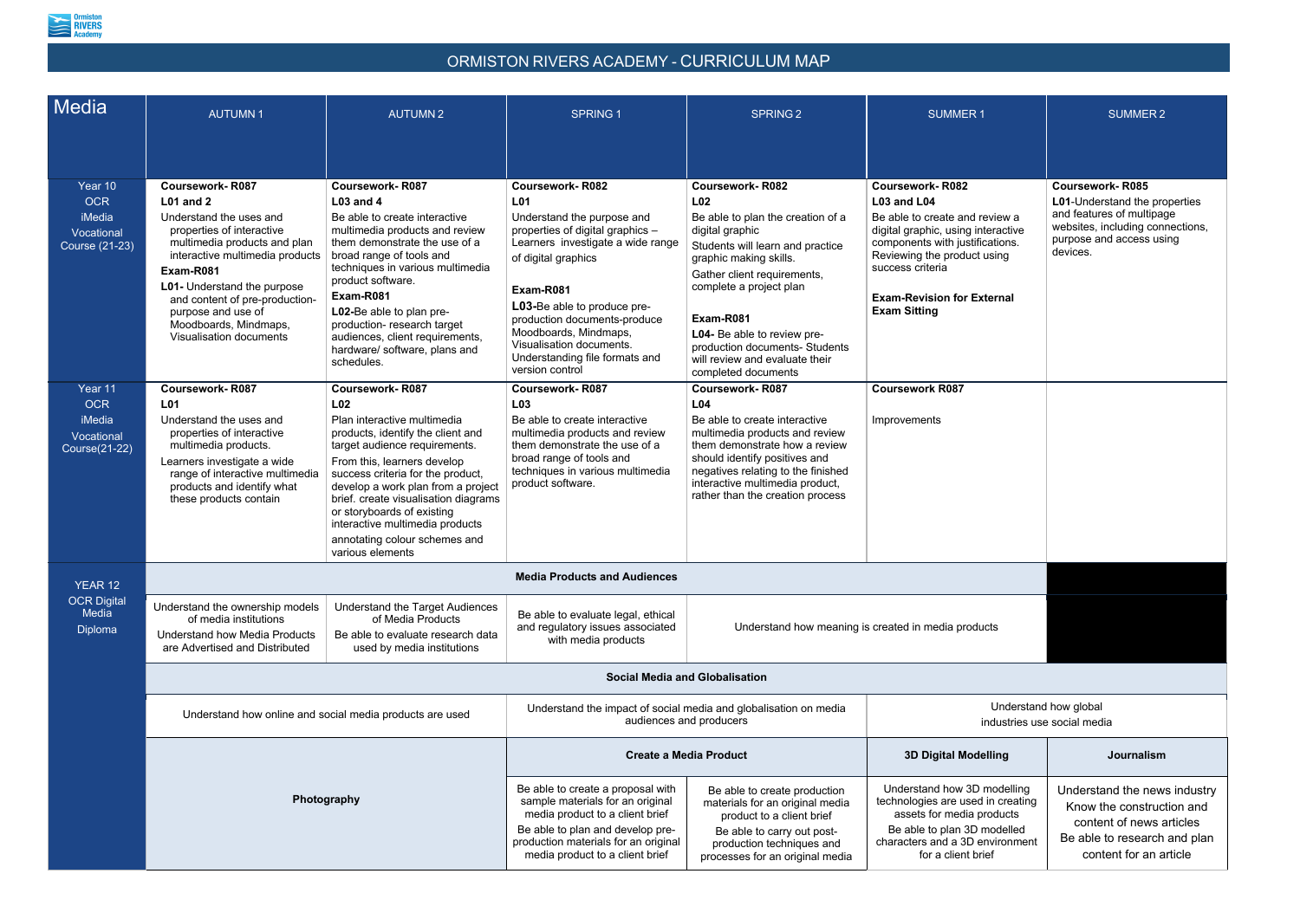

## ORMISTON RIVERS ACADEMY - CURRICULUM MAP

| Media                                                          | <b>AUTUMN1</b>                                                                                                                                                                                                                                                                                      | <b>AUTUMN2</b>                                                                                                                                                                                                                                                                                                                                                                                                         | <b>SPRING 1</b>                                                                                                                                                                                                                                                                                                                | <b>SPRING 2</b>                                                                                                                                                                                                                                                                                                                        | <b>SUMMER1</b>                                                                                                                                                                                                                        | <b>SUMMER 2</b>                                                                                                          |  |  |  |
|----------------------------------------------------------------|-----------------------------------------------------------------------------------------------------------------------------------------------------------------------------------------------------------------------------------------------------------------------------------------------------|------------------------------------------------------------------------------------------------------------------------------------------------------------------------------------------------------------------------------------------------------------------------------------------------------------------------------------------------------------------------------------------------------------------------|--------------------------------------------------------------------------------------------------------------------------------------------------------------------------------------------------------------------------------------------------------------------------------------------------------------------------------|----------------------------------------------------------------------------------------------------------------------------------------------------------------------------------------------------------------------------------------------------------------------------------------------------------------------------------------|---------------------------------------------------------------------------------------------------------------------------------------------------------------------------------------------------------------------------------------|--------------------------------------------------------------------------------------------------------------------------|--|--|--|
| Year 10                                                        | <b>Coursework-R087</b>                                                                                                                                                                                                                                                                              | <b>Coursework-R087</b>                                                                                                                                                                                                                                                                                                                                                                                                 | <b>Coursework-R082</b>                                                                                                                                                                                                                                                                                                         | <b>Coursework-R082</b>                                                                                                                                                                                                                                                                                                                 | <b>Coursework-R082</b>                                                                                                                                                                                                                | <b>Coursework-R085</b>                                                                                                   |  |  |  |
| <b>OCR</b><br>iMedia<br>Vocational<br><b>Course (21-23)</b>    | <b>L01 and 2</b><br>Understand the uses and<br>properties of interactive<br>multimedia products and plan<br>interactive multimedia products<br>Exam-R081<br>L01- Understand the purpose<br>and content of pre-production-<br>purpose and use of<br>Moodboards, Mindmaps,<br>Visualisation documents | <b>L03 and 4</b><br>Be able to create interactive<br>multimedia products and review<br>them demonstrate the use of a<br>broad range of tools and<br>techniques in various multimedia<br>product software.<br>Exam-R081<br>L02-Be able to plan pre-<br>production- research target<br>audiences, client requirements,<br>hardware/ software, plans and<br>schedules.                                                    | <b>L01</b><br>Understand the purpose and<br>properties of digital graphics -<br>Learners investigate a wide range<br>of digital graphics<br>Exam-R081<br>L03-Be able to produce pre-<br>production documents-produce<br>Moodboards, Mindmaps,<br>Visualisation documents.<br>Understanding file formats and<br>version control | L <sub>02</sub><br>Be able to plan the creation of a<br>digital graphic<br>Students will learn and practice<br>graphic making skills.<br>Gather client requirements,<br>complete a project plan<br>Exam-R081<br>L04- Be able to review pre-<br>production documents- Students<br>will review and evaluate their<br>completed documents | L03 and L04<br>Be able to create and review a<br>digital graphic, using interactive<br>components with justifications.<br>Reviewing the product using<br>success criteria<br><b>Exam-Revision for External</b><br><b>Exam Sitting</b> | <b>L01-Understand the pro</b><br>and features of multipa<br>websites, including con<br>purpose and access us<br>devices. |  |  |  |
| Year 11<br><b>OCR</b><br>iMedia<br>Vocational<br>Course(21-22) | <b>Coursework-R087</b><br>L01<br>Understand the uses and<br>properties of interactive<br>multimedia products.<br>Learners investigate a wide<br>range of interactive multimedia<br>products and identify what<br>these products contain                                                             | <b>Coursework-R087</b><br>L <sub>02</sub><br>Plan interactive multimedia<br>products, identify the client and<br>target audience requirements.<br>From this, learners develop<br>success criteria for the product,<br>develop a work plan from a project<br>brief. create visualisation diagrams<br>or storyboards of existing<br>interactive multimedia products<br>annotating colour schemes and<br>various elements | <b>Coursework-R087</b><br>L <sub>03</sub><br>Be able to create interactive<br>multimedia products and review<br>them demonstrate the use of a<br>broad range of tools and<br>techniques in various multimedia<br>product software.                                                                                             | <b>Coursework-R087</b><br>L <sub>04</sub><br>Be able to create interactive<br>multimedia products and review<br>them demonstrate how a review<br>should identify positives and<br>negatives relating to the finished<br>interactive multimedia product,<br>rather than the creation process                                            | <b>Coursework R087</b><br>Improvements                                                                                                                                                                                                |                                                                                                                          |  |  |  |
| YEAR 12<br><b>OCR Digital</b><br>Media<br>Diploma              | <b>Media Products and Audiences</b>                                                                                                                                                                                                                                                                 |                                                                                                                                                                                                                                                                                                                                                                                                                        |                                                                                                                                                                                                                                                                                                                                |                                                                                                                                                                                                                                                                                                                                        |                                                                                                                                                                                                                                       |                                                                                                                          |  |  |  |
|                                                                | Understand the ownership models<br>of media institutions<br><b>Understand how Media Products</b><br>are Advertised and Distributed                                                                                                                                                                  | <b>Understand the Target Audiences</b><br>of Media Products<br>Be able to evaluate research data<br>used by media institutions                                                                                                                                                                                                                                                                                         | Be able to evaluate legal, ethical<br>and regulatory issues associated<br>with media products                                                                                                                                                                                                                                  |                                                                                                                                                                                                                                                                                                                                        | Understand how meaning is created in media products                                                                                                                                                                                   |                                                                                                                          |  |  |  |
|                                                                | <b>Social Media and Globalisation</b>                                                                                                                                                                                                                                                               |                                                                                                                                                                                                                                                                                                                                                                                                                        |                                                                                                                                                                                                                                                                                                                                |                                                                                                                                                                                                                                                                                                                                        |                                                                                                                                                                                                                                       |                                                                                                                          |  |  |  |
|                                                                |                                                                                                                                                                                                                                                                                                     | Understand how online and social media products are used                                                                                                                                                                                                                                                                                                                                                               | Understand the impact of social media and globalisation on media<br>audiences and producers                                                                                                                                                                                                                                    |                                                                                                                                                                                                                                                                                                                                        | Understand how global<br>industries use social media                                                                                                                                                                                  |                                                                                                                          |  |  |  |
|                                                                | Photography                                                                                                                                                                                                                                                                                         |                                                                                                                                                                                                                                                                                                                                                                                                                        | <b>Create a Media Product</b>                                                                                                                                                                                                                                                                                                  |                                                                                                                                                                                                                                                                                                                                        | <b>3D Digital Modelling</b>                                                                                                                                                                                                           | Journalism                                                                                                               |  |  |  |
|                                                                |                                                                                                                                                                                                                                                                                                     |                                                                                                                                                                                                                                                                                                                                                                                                                        | Be able to create a proposal with<br>sample materials for an original<br>media product to a client brief<br>Be able to plan and develop pre-<br>production materials for an original<br>media product to a client brief                                                                                                        | Be able to create production<br>materials for an original media<br>product to a client brief<br>Be able to carry out post-<br>production techniques and<br>processes for an original media                                                                                                                                             | Understand how 3D modelling<br>technologies are used in creating<br>assets for media products<br>Be able to plan 3D modelled<br>characters and a 3D environment<br>for a client brief                                                 | Understand the new<br>Know the construc<br>content of news a<br>Be able to research<br>content for an a                  |  |  |  |

| 1                                                                        | <b>SUMMER 2</b>                                                                                                                                           |  |  |  |  |  |
|--------------------------------------------------------------------------|-----------------------------------------------------------------------------------------------------------------------------------------------------------|--|--|--|--|--|
| eview a<br>iteractive<br>cations.<br>using<br><b>cternal</b>             | Coursework-R085<br>L01-Understand the properties<br>and features of multipage<br>websites, including connections,<br>purpose and access using<br>devices. |  |  |  |  |  |
|                                                                          |                                                                                                                                                           |  |  |  |  |  |
| ıcts                                                                     |                                                                                                                                                           |  |  |  |  |  |
|                                                                          |                                                                                                                                                           |  |  |  |  |  |
| Understand how global<br>industries use social media                     |                                                                                                                                                           |  |  |  |  |  |
| elling                                                                   | <b>Journalism</b>                                                                                                                                         |  |  |  |  |  |
| modelling<br>I in creating<br>oroducts<br>modelled<br>environment<br>ief | Understand the news industry<br>Know the construction and<br>content of news articles<br>Be able to research and plan<br>content for an article           |  |  |  |  |  |